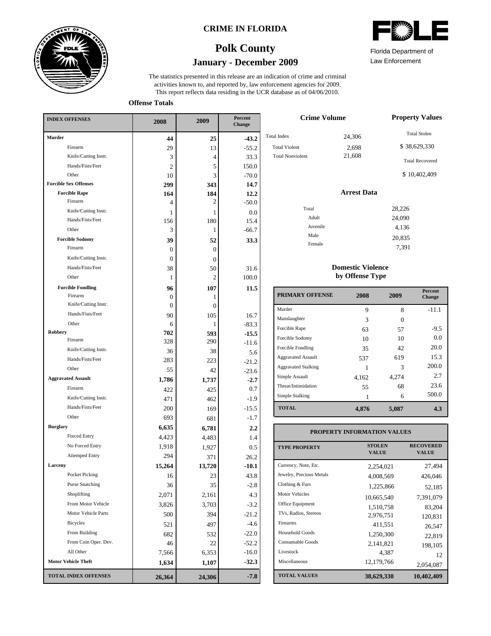

### **CRIME IN FLORIDA**

# **January - December 2009 Polk County**

This report reflects data residing in the UCR database as of 04/06/2010. activities known to, and reported by, law enforcement agencies for 2009. The statistics presented in this release are an indication of crime and criminal

**Offense Totals**

| <b>INDEX OFFENSES</b>        | 2008         | 2009           | Percent<br><b>Change</b> |
|------------------------------|--------------|----------------|--------------------------|
| <b>Murder</b>                | 44           | 25             | $-43.2$                  |
| Firearm                      | 29           | 13             | $-55.2$                  |
| Knife/Cutting Instr.         | 3            | 4              | 33.3                     |
| Hands/Fists/Feet             | 2            | 5              | 150.0                    |
| Other                        | 10           | 3              | $-70.0$                  |
| <b>Forcible Sex Offenses</b> | 299          | 343            | 14.7                     |
| <b>Forcible Rape</b>         | 164          | 184            | 12.2                     |
| Firearm                      | 4            | 2              | $-50.0$                  |
| Knife/Cutting Instr.         | 1            | 1              | 0.0                      |
| Hands/Fists/Feet             | 156          | 180            | 15.4                     |
| Other                        | 3            | 1              | $-66.7$                  |
| <b>Forcible Sodomy</b>       | 39           | 52             | 33.3                     |
| Firearm                      | 0            | $\overline{0}$ |                          |
| Knife/Cutting Instr.         | $\Omega$     | $\overline{0}$ |                          |
| Hands/Fists/Feet             | 38           | 50             | 31.6                     |
| Other                        | 1            | 2              | 100.0                    |
| <b>Forcible Fondling</b>     | 96           | 107            | 11.5                     |
| Firearm                      | 0            | 1              |                          |
| Knife/Cutting Instr.         | $\mathbf{0}$ | $\overline{0}$ |                          |
| Hands/Fists/Feet             | 90           | 105            | 16.7                     |
| Other                        | 6            | 1              | $-83.3$                  |
| Robbery<br>Firearm           | 702          | 593            | $-15.5$                  |
| Knife/Cutting Instr.         | 328          | 290            | $-11.6$                  |
| Hands/Fists/Feet             | 36           | 38             | 5.6                      |
| Other                        | 283          | 223            | $-21.2$                  |
| <b>Aggravated Assault</b>    | 55           | 42             | $-23.6$                  |
| Firearm                      | 1,786        | 1,737          | $-2.7$                   |
|                              | 422          | 425            | 0.7                      |
| Knife/Cutting Instr.         | 471          | 462            | $-1.9$                   |
| Hands/Fists/Feet             | 200          | 169            | $-15.5$                  |
| Other                        | 693          | 681            | $-1.7$                   |
| <b>Burglary</b>              | 6,635        | 6,781          | $2.2\,$                  |
| Forced Entry                 | 4,423        | 4,483          | 1.4                      |
| No Forced Entry              | 1,918        | 1,927          | 0.5                      |
| <b>Attemped Entry</b>        | 294          | 371            | 26.2                     |
| Larceny                      | 15,264       | 13,720         | $-10.1$                  |
| Pocket Picking               | 16           | 23             | 43.8                     |
| <b>Purse Snatching</b>       | 36           | 35             | $-2.8$                   |
| Shoplifting                  | 2,071        | 2,161          | 4.3                      |
| From Motor Vehicle           | 3,826        | 3,703          | $-3.2$                   |
| Motor Vehicle Parts          | 500          | 394            | $-21.2$                  |
| Bicycles                     | 521          | 497            | $-4.6$                   |
| From Building                | 682          | 532            | $-22.0$                  |
| From Coin Oper. Dev.         | 46           | 22             | $-52.2$                  |
| All Other                    | 7,566        | 6,353          | $-16.0$                  |
| <b>Motor Vehicle Theft</b>   | 1,634        | 1,107          | $-32.3$                  |
| <b>TOTAL INDEX OFFENSES</b>  | 26,364       | 24,306         | $-7.8$                   |

|  |  | <b>AWA</b><br>ZIN |  |  |
|--|--|-------------------|--|--|
|  |  |                   |  |  |

Law Enforcement Florida Department of

| <b>Crime Volume</b>     | <b>Property Values</b> |                        |
|-------------------------|------------------------|------------------------|
| <b>Total Index</b>      | 24,306                 | <b>Total Stolen</b>    |
| <b>Total Violent</b>    | 2,698                  | \$38,629,330           |
| <b>Total Nonviolent</b> | 21,608                 | <b>Total Recovered</b> |
|                         |                        | \$10,402,409           |
|                         | <b>Arrest Data</b>     |                        |
| Total                   |                        | 28,226                 |
| Adult                   |                        | 24,090                 |
| Juvenile                |                        | 4,136                  |
| Male                    |                        | 20,835                 |
| Female                  |                        | 7,391                  |

#### **Domestic Violence by Offense Type**

| <b>PRIMARY OFFENSE</b>     | 2008  | 2009  | <b>Percent</b><br><b>Change</b> |
|----------------------------|-------|-------|---------------------------------|
| Murder                     | 9     | 8     | $-11.1$                         |
| Manslaughter               | 3     | 0     |                                 |
| Forcible Rape              | 63    | 57    | $-9.5$                          |
| Forcible Sodomy            | 10    | 10    | 0.0                             |
| Forcible Fondling          | 35    | 42    | 20.0                            |
| <b>Aggravated Assault</b>  | 537   | 619   | 15.3                            |
| <b>Aggravated Stalking</b> |       | 3     | 200.0                           |
| Simple Assault             | 4,162 | 4,274 | 2.7                             |
| Threat/Intimidation        | 55    | 68    | 23.6                            |
| Simple Stalking            |       | 6     | 500.0                           |
| <b>TOTAL</b>               | 4,876 | 5,087 | 4.3                             |

### **PROPERTY INFORMATION VALUES**

| <b>TYPE PROPERTY</b>     | <b>STOLEN</b><br><b>VALUE</b> | <b>RECOVERED</b><br><b>VALUE</b> |
|--------------------------|-------------------------------|----------------------------------|
| Currency, Note, Etc.     | 2,254,021                     | 27,494                           |
| Jewelry, Precious Metals | 4.008.569                     | 426,046                          |
| Clothing & Furs          | 1,225,866                     | 52,185                           |
| <b>Motor Vehicles</b>    | 10,665,540                    | 7,391,079                        |
| Office Equipment         | 1,510,758                     | 83,204                           |
| TVs, Radios, Stereos     | 2.976.751                     | 120.831                          |
| Firearms                 | 411,551                       | 26,547                           |
| <b>Household Goods</b>   | 1,250,300                     | 22,819                           |
| Consumable Goods         | 2,141,821                     | 198.105                          |
| Livestock                | 4,387                         | 12                               |
| Miscellaneous            | 12,179,766                    | 2,054,087                        |
| <b>TOTAL VALUES</b>      | 38,629,330                    | 10,402,409                       |